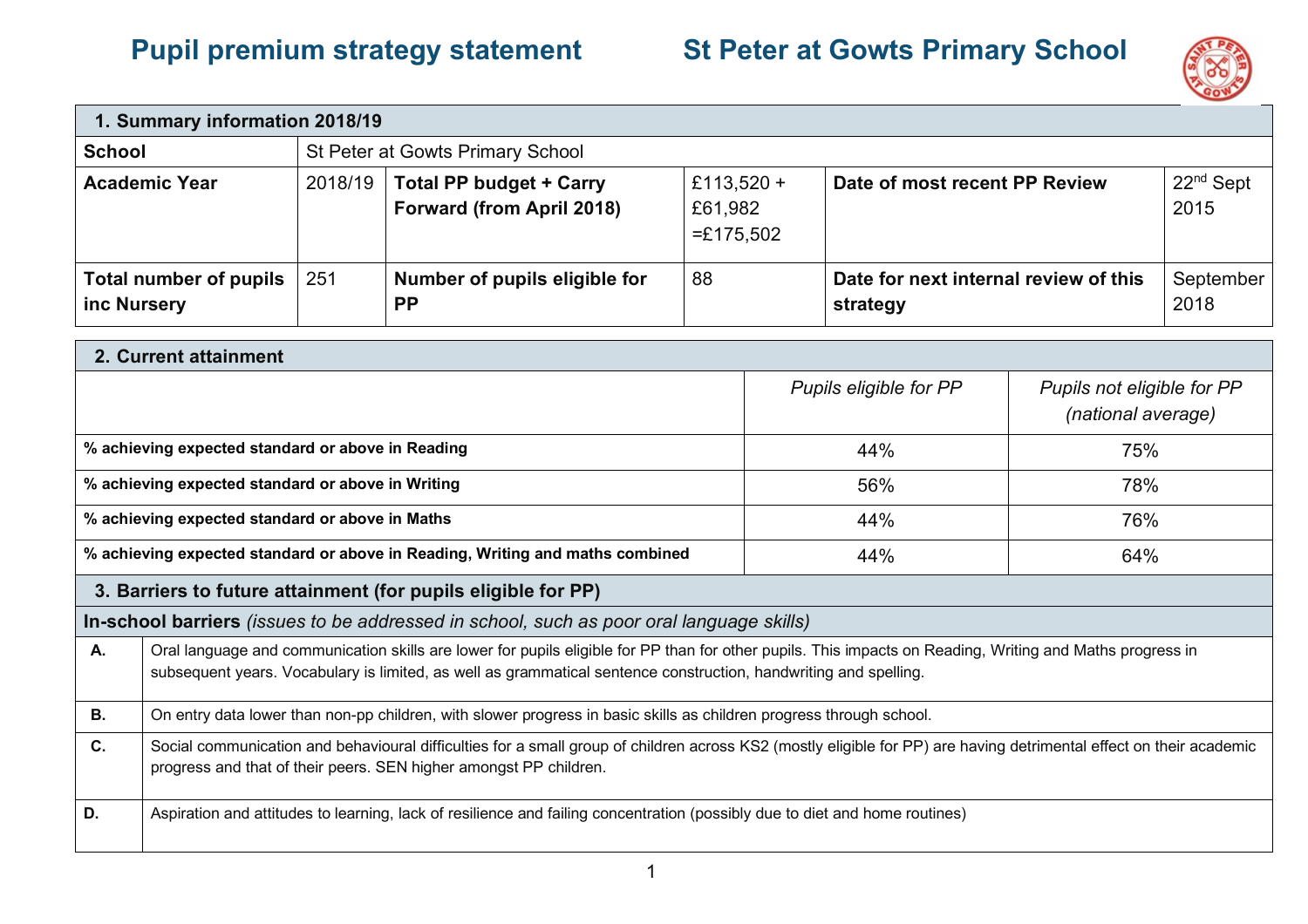## **Pupil premium strategy statement St Peter at Gowts Primary School**



| 1. Summary information 2018/19        |         |                                                                    |                                      |                                                   |                     |
|---------------------------------------|---------|--------------------------------------------------------------------|--------------------------------------|---------------------------------------------------|---------------------|
| <b>School</b>                         |         | St Peter at Gowts Primary School                                   |                                      |                                                   |                     |
| <b>Academic Year</b>                  | 2018/19 | <b>Total PP budget + Carry</b><br><b>Forward (from April 2018)</b> | £113,520 +<br>£61,982<br>$=£175,502$ | Date of most recent PP Review                     | $22nd$ Sept<br>2015 |
| Total number of pupils<br>inc Nursery | 251     | Number of pupils eligible for<br><b>PP</b>                         | 88                                   | Date for next internal review of this<br>strategy | September<br>2018   |
| <b>O</b> Convent offeigneach          |         |                                                                    |                                      |                                                   |                     |

|                                                                                                                                                                                                                                                | 2. Current attainment                                                                                                                                                                                                                                                         |                        |                                                  |  |  |
|------------------------------------------------------------------------------------------------------------------------------------------------------------------------------------------------------------------------------------------------|-------------------------------------------------------------------------------------------------------------------------------------------------------------------------------------------------------------------------------------------------------------------------------|------------------------|--------------------------------------------------|--|--|
|                                                                                                                                                                                                                                                |                                                                                                                                                                                                                                                                               | Pupils eligible for PP | Pupils not eligible for PP<br>(national average) |  |  |
|                                                                                                                                                                                                                                                | % achieving expected standard or above in Reading                                                                                                                                                                                                                             | 44%                    | 75%                                              |  |  |
|                                                                                                                                                                                                                                                | % achieving expected standard or above in Writing                                                                                                                                                                                                                             | 56%                    | 78%                                              |  |  |
|                                                                                                                                                                                                                                                | % achieving expected standard or above in Maths                                                                                                                                                                                                                               | 44%                    | 76%                                              |  |  |
|                                                                                                                                                                                                                                                | % achieving expected standard or above in Reading, Writing and maths combined                                                                                                                                                                                                 | 44%                    | 64%                                              |  |  |
|                                                                                                                                                                                                                                                | 3. Barriers to future attainment (for pupils eligible for PP)                                                                                                                                                                                                                 |                        |                                                  |  |  |
|                                                                                                                                                                                                                                                | <b>In-school barriers</b> (issues to be addressed in school, such as poor oral language skills)                                                                                                                                                                               |                        |                                                  |  |  |
| A.                                                                                                                                                                                                                                             | Oral language and communication skills are lower for pupils eligible for PP than for other pupils. This impacts on Reading, Writing and Maths progress in<br>subsequent years. Vocabulary is limited, as well as grammatical sentence construction, handwriting and spelling. |                        |                                                  |  |  |
| <b>B.</b>                                                                                                                                                                                                                                      | On entry data lower than non-pp children, with slower progress in basic skills as children progress through school.                                                                                                                                                           |                        |                                                  |  |  |
| C.<br>Social communication and behavioural difficulties for a small group of children across KS2 (mostly eligible for PP) are having detrimental effect on their academic<br>progress and that of their peers. SEN higher amongst PP children. |                                                                                                                                                                                                                                                                               |                        |                                                  |  |  |
| D.                                                                                                                                                                                                                                             | Aspiration and attitudes to learning, lack of resilience and failing concentration (possibly due to diet and home routines)                                                                                                                                                   |                        |                                                  |  |  |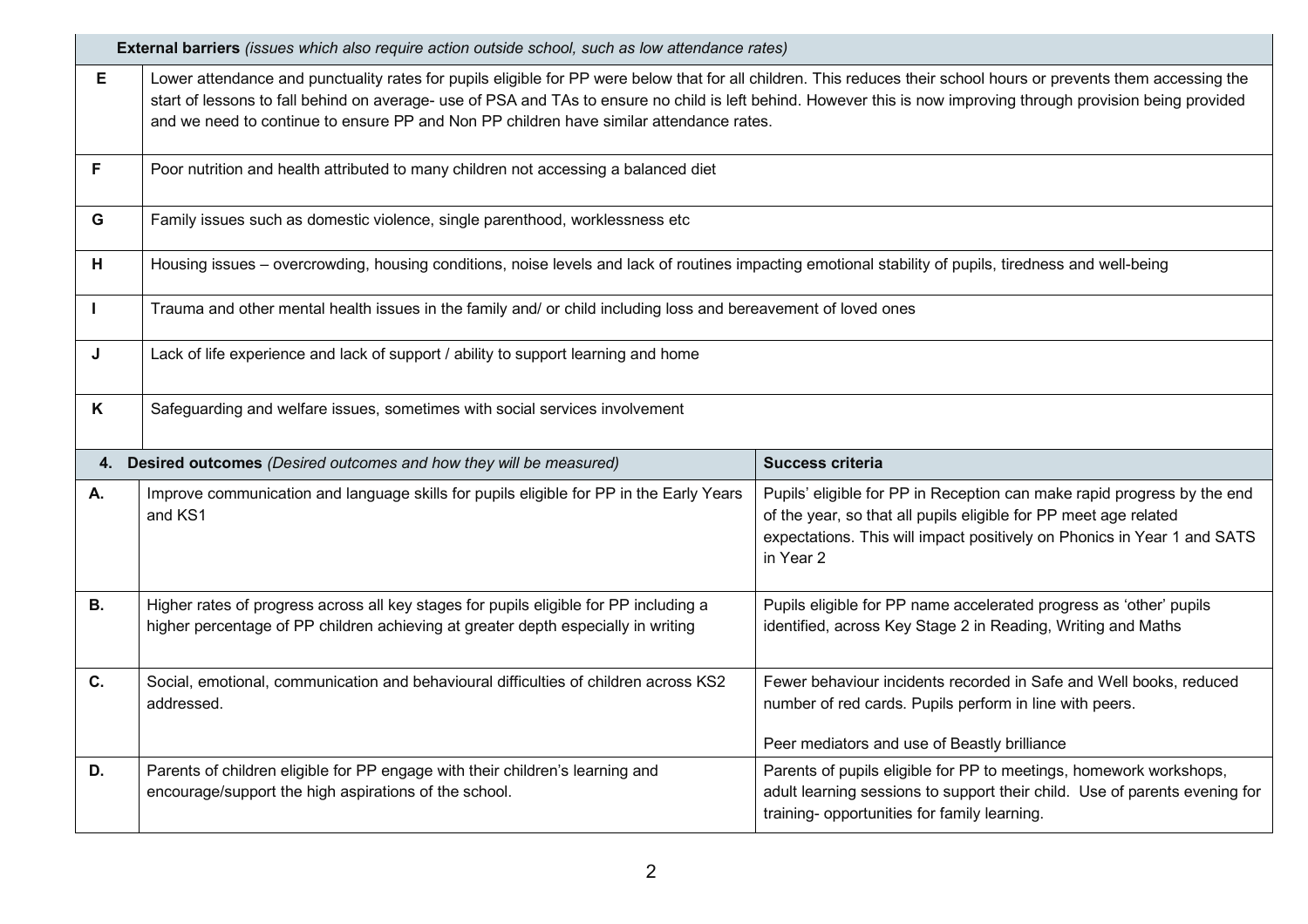|           | <b>External barriers</b> (issues which also require action outside school, such as low attendance rates)                                                                                                                                                                                                                                                                                                                          |                                                                                                                                                                                                                                     |  |  |  |
|-----------|-----------------------------------------------------------------------------------------------------------------------------------------------------------------------------------------------------------------------------------------------------------------------------------------------------------------------------------------------------------------------------------------------------------------------------------|-------------------------------------------------------------------------------------------------------------------------------------------------------------------------------------------------------------------------------------|--|--|--|
| E         | Lower attendance and punctuality rates for pupils eligible for PP were below that for all children. This reduces their school hours or prevents them accessing the<br>start of lessons to fall behind on average- use of PSA and TAs to ensure no child is left behind. However this is now improving through provision being provided<br>and we need to continue to ensure PP and Non PP children have similar attendance rates. |                                                                                                                                                                                                                                     |  |  |  |
| F         | Poor nutrition and health attributed to many children not accessing a balanced diet                                                                                                                                                                                                                                                                                                                                               |                                                                                                                                                                                                                                     |  |  |  |
| G         | Family issues such as domestic violence, single parenthood, worklessness etc                                                                                                                                                                                                                                                                                                                                                      |                                                                                                                                                                                                                                     |  |  |  |
| н         | Housing issues - overcrowding, housing conditions, noise levels and lack of routines impacting emotional stability of pupils, tiredness and well-being                                                                                                                                                                                                                                                                            |                                                                                                                                                                                                                                     |  |  |  |
|           | Trauma and other mental health issues in the family and/ or child including loss and bereavement of loved ones                                                                                                                                                                                                                                                                                                                    |                                                                                                                                                                                                                                     |  |  |  |
| J         | Lack of life experience and lack of support / ability to support learning and home                                                                                                                                                                                                                                                                                                                                                |                                                                                                                                                                                                                                     |  |  |  |
| K         | Safeguarding and welfare issues, sometimes with social services involvement                                                                                                                                                                                                                                                                                                                                                       |                                                                                                                                                                                                                                     |  |  |  |
| 4.        | Desired outcomes (Desired outcomes and how they will be measured)<br>Success criteria                                                                                                                                                                                                                                                                                                                                             |                                                                                                                                                                                                                                     |  |  |  |
| А.        | Improve communication and language skills for pupils eligible for PP in the Early Years<br>and KS1                                                                                                                                                                                                                                                                                                                                | Pupils' eligible for PP in Reception can make rapid progress by the end<br>of the year, so that all pupils eligible for PP meet age related<br>expectations. This will impact positively on Phonics in Year 1 and SATS<br>in Year 2 |  |  |  |
| <b>B.</b> | Higher rates of progress across all key stages for pupils eligible for PP including a<br>higher percentage of PP children achieving at greater depth especially in writing                                                                                                                                                                                                                                                        | Pupils eligible for PP name accelerated progress as 'other' pupils<br>identified, across Key Stage 2 in Reading, Writing and Maths                                                                                                  |  |  |  |
| C.        | Social, emotional, communication and behavioural difficulties of children across KS2<br>addressed.                                                                                                                                                                                                                                                                                                                                | Fewer behaviour incidents recorded in Safe and Well books, reduced<br>number of red cards. Pupils perform in line with peers.<br>Peer mediators and use of Beastly brilliance                                                       |  |  |  |
| D.        | Parents of children eligible for PP engage with their children's learning and<br>encourage/support the high aspirations of the school.                                                                                                                                                                                                                                                                                            | Parents of pupils eligible for PP to meetings, homework workshops,<br>adult learning sessions to support their child. Use of parents evening for<br>training- opportunities for family learning.                                    |  |  |  |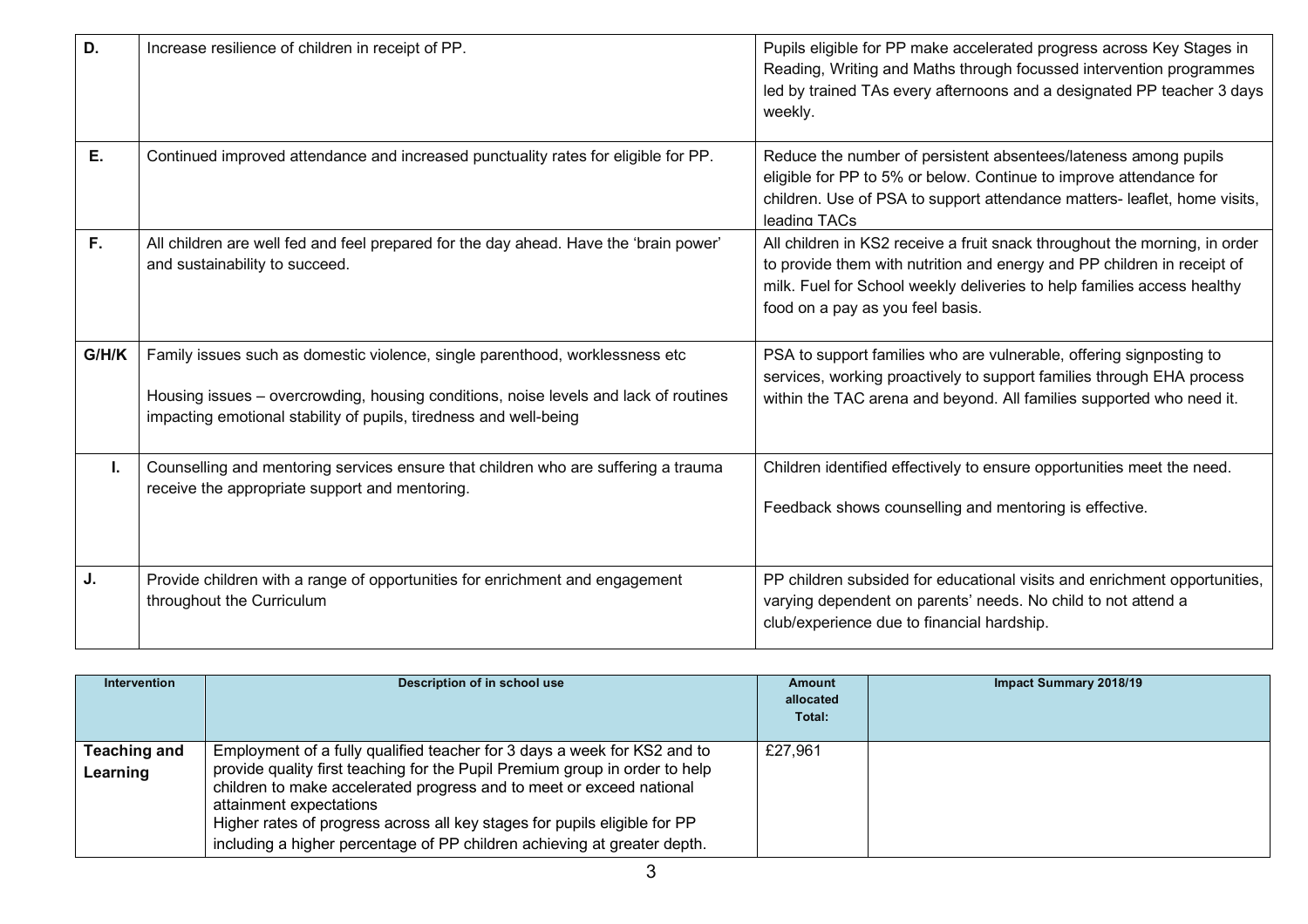| D.    | Increase resilience of children in receipt of PP.                                                                                                                                                                                         | Pupils eligible for PP make accelerated progress across Key Stages in<br>Reading, Writing and Maths through focussed intervention programmes<br>led by trained TAs every afternoons and a designated PP teacher 3 days<br>weekly.                                    |
|-------|-------------------------------------------------------------------------------------------------------------------------------------------------------------------------------------------------------------------------------------------|----------------------------------------------------------------------------------------------------------------------------------------------------------------------------------------------------------------------------------------------------------------------|
| Ε.    | Continued improved attendance and increased punctuality rates for eligible for PP.                                                                                                                                                        | Reduce the number of persistent absentees/lateness among pupils<br>eligible for PP to 5% or below. Continue to improve attendance for<br>children. Use of PSA to support attendance matters- leaflet, home visits,<br>leading TACs                                   |
| F.    | All children are well fed and feel prepared for the day ahead. Have the 'brain power'<br>and sustainability to succeed.                                                                                                                   | All children in KS2 receive a fruit snack throughout the morning, in order<br>to provide them with nutrition and energy and PP children in receipt of<br>milk. Fuel for School weekly deliveries to help families access healthy<br>food on a pay as you feel basis. |
| G/H/K | Family issues such as domestic violence, single parenthood, worklessness etc<br>Housing issues - overcrowding, housing conditions, noise levels and lack of routines<br>impacting emotional stability of pupils, tiredness and well-being | PSA to support families who are vulnerable, offering signposting to<br>services, working proactively to support families through EHA process<br>within the TAC arena and beyond. All families supported who need it.                                                 |
| ı.    | Counselling and mentoring services ensure that children who are suffering a trauma<br>receive the appropriate support and mentoring.                                                                                                      | Children identified effectively to ensure opportunities meet the need.<br>Feedback shows counselling and mentoring is effective.                                                                                                                                     |
| J.    | Provide children with a range of opportunities for enrichment and engagement<br>throughout the Curriculum                                                                                                                                 | PP children subsided for educational visits and enrichment opportunities,<br>varying dependent on parents' needs. No child to not attend a<br>club/experience due to financial hardship.                                                                             |

| <b>Intervention</b>      | Description of in school use                                                                                                                                                                                                                                                                                                                                                                                        | Amount<br>allocated<br>Total: | <b>Impact Summary 2018/19</b> |
|--------------------------|---------------------------------------------------------------------------------------------------------------------------------------------------------------------------------------------------------------------------------------------------------------------------------------------------------------------------------------------------------------------------------------------------------------------|-------------------------------|-------------------------------|
| Teaching and<br>Learning | Employment of a fully qualified teacher for 3 days a week for KS2 and to<br>provide quality first teaching for the Pupil Premium group in order to help<br>children to make accelerated progress and to meet or exceed national<br>attainment expectations<br>Higher rates of progress across all key stages for pupils eligible for PP<br>including a higher percentage of PP children achieving at greater depth. | £27,961                       |                               |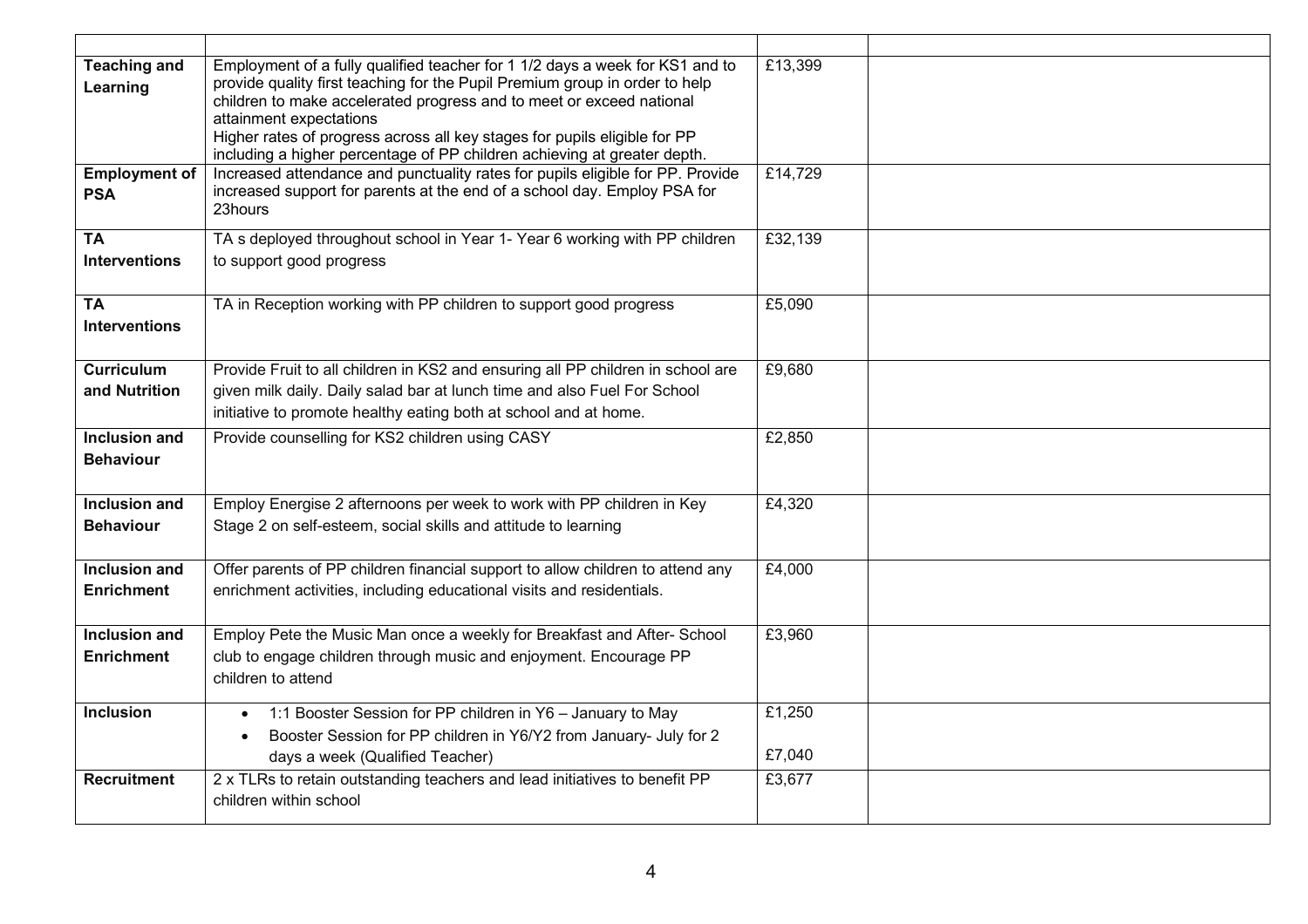| <b>Teaching and</b><br>Learning    | Employment of a fully qualified teacher for 1 1/2 days a week for KS1 and to<br>provide quality first teaching for the Pupil Premium group in order to help<br>children to make accelerated progress and to meet or exceed national<br>attainment expectations<br>Higher rates of progress across all key stages for pupils eligible for PP<br>including a higher percentage of PP children achieving at greater depth. | £13,399          |  |
|------------------------------------|-------------------------------------------------------------------------------------------------------------------------------------------------------------------------------------------------------------------------------------------------------------------------------------------------------------------------------------------------------------------------------------------------------------------------|------------------|--|
| <b>Employment of</b><br><b>PSA</b> | Increased attendance and punctuality rates for pupils eligible for PP. Provide<br>increased support for parents at the end of a school day. Employ PSA for<br>23hours                                                                                                                                                                                                                                                   | £14,729          |  |
| <b>TA</b><br><b>Interventions</b>  | TA s deployed throughout school in Year 1- Year 6 working with PP children<br>to support good progress                                                                                                                                                                                                                                                                                                                  | £32,139          |  |
| <b>TA</b><br><b>Interventions</b>  | TA in Reception working with PP children to support good progress                                                                                                                                                                                                                                                                                                                                                       | £5,090           |  |
| <b>Curriculum</b><br>and Nutrition | Provide Fruit to all children in KS2 and ensuring all PP children in school are<br>given milk daily. Daily salad bar at lunch time and also Fuel For School<br>initiative to promote healthy eating both at school and at home.                                                                                                                                                                                         | £9,680           |  |
| Inclusion and<br><b>Behaviour</b>  | Provide counselling for KS2 children using CASY                                                                                                                                                                                                                                                                                                                                                                         | £2,850           |  |
| Inclusion and<br><b>Behaviour</b>  | Employ Energise 2 afternoons per week to work with PP children in Key<br>Stage 2 on self-esteem, social skills and attitude to learning                                                                                                                                                                                                                                                                                 | £4,320           |  |
| Inclusion and<br><b>Enrichment</b> | Offer parents of PP children financial support to allow children to attend any<br>enrichment activities, including educational visits and residentials.                                                                                                                                                                                                                                                                 | £4,000           |  |
| Inclusion and<br><b>Enrichment</b> | Employ Pete the Music Man once a weekly for Breakfast and After- School<br>club to engage children through music and enjoyment. Encourage PP<br>children to attend                                                                                                                                                                                                                                                      | £3,960           |  |
| <b>Inclusion</b>                   | • 1:1 Booster Session for PP children in Y6 - January to May<br>Booster Session for PP children in Y6/Y2 from January- July for 2<br>days a week (Qualified Teacher)                                                                                                                                                                                                                                                    | £1,250<br>£7,040 |  |
| <b>Recruitment</b>                 | 2 x TLRs to retain outstanding teachers and lead initiatives to benefit PP<br>children within school                                                                                                                                                                                                                                                                                                                    | £3,677           |  |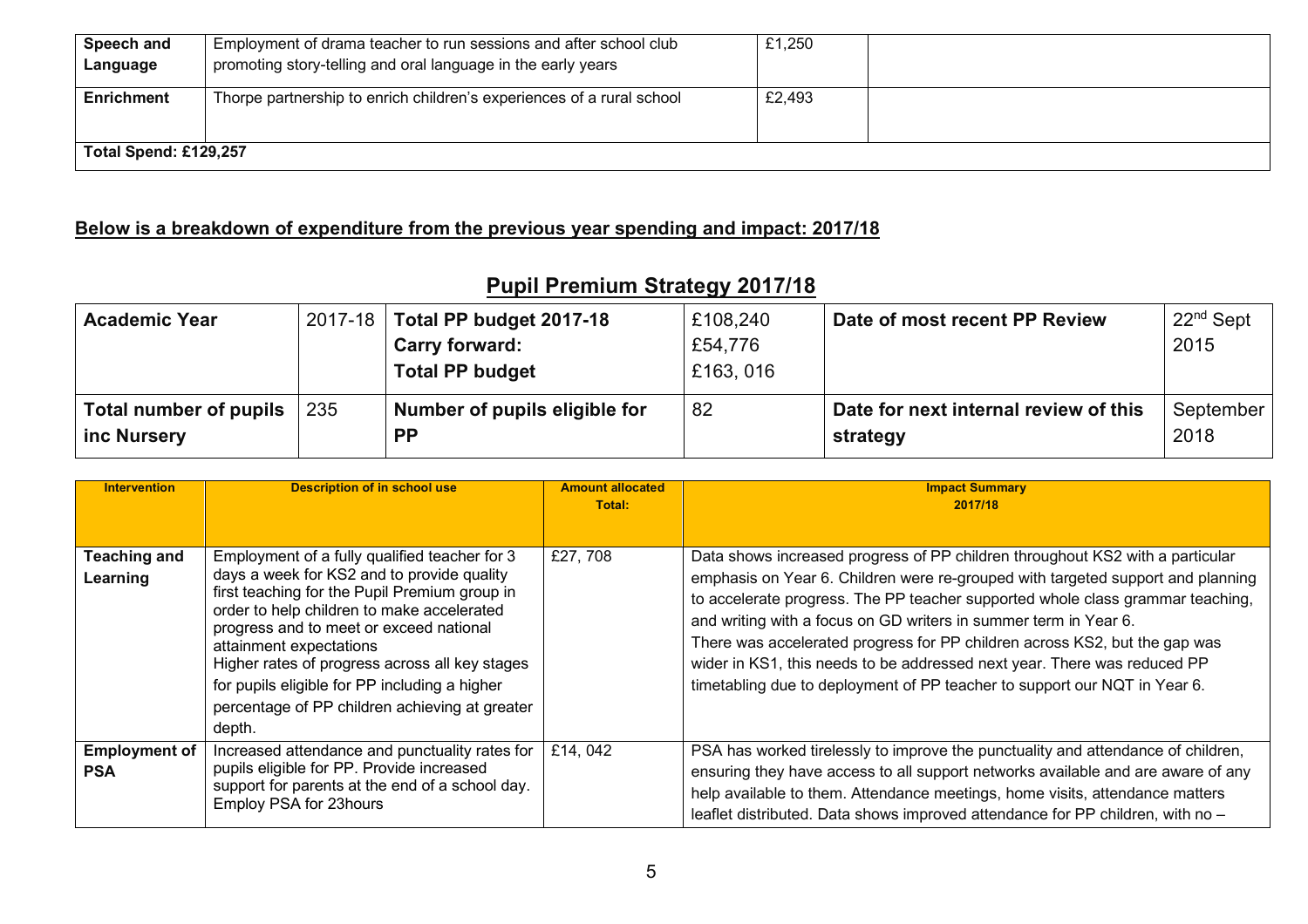| Speech and<br>Language | Employment of drama teacher to run sessions and after school club<br>promoting story-telling and oral language in the early years | £1,250 |  |  |
|------------------------|-----------------------------------------------------------------------------------------------------------------------------------|--------|--|--|
| <b>Enrichment</b>      | Thorpe partnership to enrich children's experiences of a rural school                                                             | £2,493 |  |  |
| Total Spend: £129,257  |                                                                                                                                   |        |  |  |

## **Below is a breakdown of expenditure from the previous year spending and impact: 2017/18**

## **Pupil Premium Strategy 2017/18**

| <b>Academic Year</b>                  |     | 2017-18   Total PP budget 2017-18          | £108,240 | Date of most recent PP Review                     | $22nd$ Sept       |
|---------------------------------------|-----|--------------------------------------------|----------|---------------------------------------------------|-------------------|
|                                       |     | <b>Carry forward:</b>                      | £54,776  |                                                   | 2015              |
|                                       |     | <b>Total PP budget</b>                     | £163,016 |                                                   |                   |
| Total number of pupils<br>inc Nursery | 235 | Number of pupils eligible for<br><b>PP</b> | 82       | Date for next internal review of this<br>strategy | September<br>2018 |

| <b>Intervention</b>                | <b>Description of in school use</b>                                                                                                                                                                                                                                                                                                                                                                                             | <b>Amount allocated</b><br>Total: | <b>Impact Summary</b><br>2017/18                                                                                                                                                                                                                                                                                                                                                                                                                                                                                                                              |
|------------------------------------|---------------------------------------------------------------------------------------------------------------------------------------------------------------------------------------------------------------------------------------------------------------------------------------------------------------------------------------------------------------------------------------------------------------------------------|-----------------------------------|---------------------------------------------------------------------------------------------------------------------------------------------------------------------------------------------------------------------------------------------------------------------------------------------------------------------------------------------------------------------------------------------------------------------------------------------------------------------------------------------------------------------------------------------------------------|
| <b>Teaching and</b><br>Learning    | Employment of a fully qualified teacher for 3<br>days a week for KS2 and to provide quality<br>first teaching for the Pupil Premium group in<br>order to help children to make accelerated<br>progress and to meet or exceed national<br>attainment expectations<br>Higher rates of progress across all key stages<br>for pupils eligible for PP including a higher<br>percentage of PP children achieving at greater<br>depth. | £27,708                           | Data shows increased progress of PP children throughout KS2 with a particular<br>emphasis on Year 6. Children were re-grouped with targeted support and planning<br>to accelerate progress. The PP teacher supported whole class grammar teaching,<br>and writing with a focus on GD writers in summer term in Year 6.<br>There was accelerated progress for PP children across KS2, but the gap was<br>wider in KS1, this needs to be addressed next year. There was reduced PP<br>timetabling due to deployment of PP teacher to support our NQT in Year 6. |
| <b>Employment of</b><br><b>PSA</b> | Increased attendance and punctuality rates for<br>pupils eligible for PP. Provide increased<br>support for parents at the end of a school day.<br>Employ PSA for 23hours                                                                                                                                                                                                                                                        | £14,042                           | PSA has worked tirelessly to improve the punctuality and attendance of children,<br>ensuring they have access to all support networks available and are aware of any<br>help available to them. Attendance meetings, home visits, attendance matters<br>leaflet distributed. Data shows improved attendance for PP children, with no -                                                                                                                                                                                                                        |